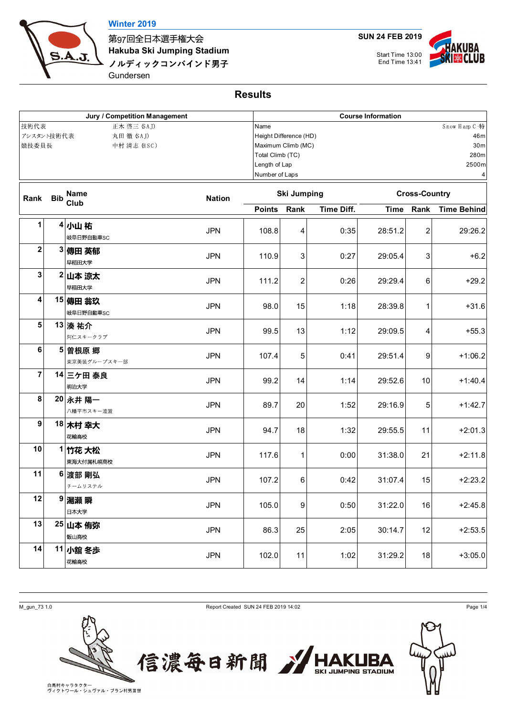

第97回全日本選手権大会 **Hakuba Ski Jumping Stadium** ノルディックコンバインド男子

Gundersen

**SUN 24 FEB 2019**

Start Time 13:00



**Results**

| Jury / Competition Management<br>技術代表<br>正木 啓三 (SAJ)<br>アシスタント技術代表<br>丸田 徹 (SAJ)<br>競技委員長<br>中村 清志 (HSC) |            |                       |               |                        | <b>Course Information</b>                                                                                                    |                           |                        |                        |                               |  |  |
|----------------------------------------------------------------------------------------------------------|------------|-----------------------|---------------|------------------------|------------------------------------------------------------------------------------------------------------------------------|---------------------------|------------------------|------------------------|-------------------------------|--|--|
|                                                                                                          |            |                       |               |                        | Snow Harp C 特<br>Name<br>Height Difference (HD)<br>Maximum Climb (MC)<br>Total Climb (TC)<br>Length of Lap<br>Number of Laps |                           |                        |                        |                               |  |  |
| Rank                                                                                                     | <b>Bib</b> | <b>Name</b><br>Club   | <b>Nation</b> | <b>Ski Jumping</b>     |                                                                                                                              |                           | <b>Cross-Country</b>   |                        |                               |  |  |
| 1                                                                                                        |            | 4小山 祐<br>岐阜日野自動車SC    | <b>JPN</b>    | <b>Points</b><br>108.8 | Rank<br>4                                                                                                                    | <b>Time Diff.</b><br>0:35 | <b>Time</b><br>28:51.2 | Rank<br>$\overline{c}$ | <b>Time Behind</b><br>29:26.2 |  |  |
| $\mathbf 2$                                                                                              |            | 3 傳田 英郁<br>早稲田大学      | <b>JPN</b>    | 110.9                  | 3                                                                                                                            | 0:27                      | 29:05.4                | 3                      | $+6.2$                        |  |  |
| 3                                                                                                        |            | 2 山本 涼太<br>早稲田大学      | <b>JPN</b>    | 111.2                  | 2                                                                                                                            | 0:26                      | 29:29.4                | 6                      | $+29.2$                       |  |  |
| 4                                                                                                        |            | 15 傳田 翁玖<br>岐阜日野自動車SC | <b>JPN</b>    | 98.0                   | 15                                                                                                                           | 1:18                      | 28:39.8                | 1                      | $+31.6$                       |  |  |
| 5                                                                                                        |            | 13 湊 祐介<br>阿仁スキークラブ   | <b>JPN</b>    | 99.5                   | 13                                                                                                                           | 1:12                      | 29:09.5                | 4                      | $+55.3$                       |  |  |
| 6                                                                                                        | 5          | 曽根原 郷<br>東京美装グループスキー部 | <b>JPN</b>    | 107.4                  | 5                                                                                                                            | 0:41                      | 29:51.4                | 9                      | $+1:06.2$                     |  |  |
| 7                                                                                                        |            | 14 三ケ田 泰良<br>明治大学     | <b>JPN</b>    | 99.2                   | 14                                                                                                                           | 1:14                      | 29:52.6                | 10                     | $+1:40.4$                     |  |  |
| 8                                                                                                        |            | 20 永井 陽一<br>八幡平市スキー連盟 | <b>JPN</b>    | 89.7                   | 20                                                                                                                           | 1:52                      | 29:16.9                | 5                      | $+1:42.7$                     |  |  |
| $\boldsymbol{9}$                                                                                         |            | 18 木村 幸大<br>花輪高校      | <b>JPN</b>    | 94.7                   | 18                                                                                                                           | 1:32                      | 29:55.5                | 11                     | $+2:01.3$                     |  |  |
| 10                                                                                                       |            | 1 竹花 大松<br>東海大付属札幌高校  | <b>JPN</b>    | 117.6                  | 1                                                                                                                            | 0:00                      | 31:38.0                | 21                     | $+2:11.8$                     |  |  |
| 11                                                                                                       |            | 6 渡部 剛弘<br>チームリステル    | <b>JPN</b>    | 107.2                  | 6                                                                                                                            | 0:42                      | 31:07.4                | 15                     | $+2:23.2$                     |  |  |
| 12                                                                                                       |            | 9 湯瀬 瞬<br>日本大学        | <b>JPN</b>    | 105.0                  | 9                                                                                                                            | 0:50                      | 31:22.0                | 16                     | $+2:45.8$                     |  |  |
| 13                                                                                                       |            | 25 山本 侑弥<br>飯山高校      | <b>JPN</b>    | 86.3                   | 25                                                                                                                           | 2:05                      | 30:14.7                | 12                     | $+2:53.5$                     |  |  |
| 14                                                                                                       |            | 11 小舘 冬歩<br>花輪高校      | <b>JPN</b>    | 102.0                  | 11                                                                                                                           | 1:02                      | 31:29.2                | 18                     | $+3:05.0$                     |  |  |





**KUBA JUMPING STADIUM**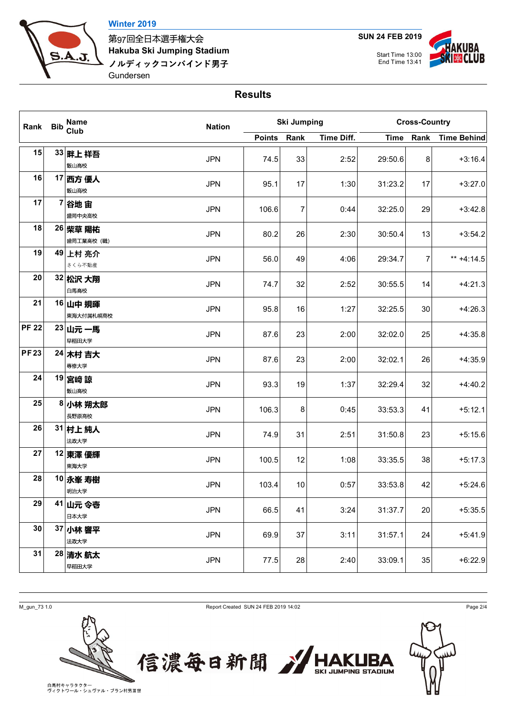

第97回全日本選手権大会 **Hakuba Ski Jumping Stadium** ノルディックコンバインド男子 Gundersen

**SUN 24 FEB 2019**

UBA Start Time 13:00 **CLUB** End Time 13:41

## **Results**

| Rank Bib     |  | <b>Name</b><br><b>Club</b> | <b>Nation</b> |               | <b>Ski Jumping</b> |            | <b>Cross-Country</b> |      |                    |  |
|--------------|--|----------------------------|---------------|---------------|--------------------|------------|----------------------|------|--------------------|--|
|              |  |                            |               | <b>Points</b> | Rank               | Time Diff. | <b>Time</b>          | Rank | <b>Time Behind</b> |  |
| 15           |  | 33 畔上祥吾<br>飯山高校            | <b>JPN</b>    | 74.5          | 33                 | 2:52       | 29:50.6              | 8    | $+3:16.4$          |  |
| 16           |  | 17 西方 優人<br>飯山高校           | <b>JPN</b>    | 95.1          | 17                 | 1:30       | 31:23.2              | 17   | $+3:27.0$          |  |
| 17           |  | 7 谷地 宙<br>盛岡中央高校           | <b>JPN</b>    | 106.6         | 7                  | 0:44       | 32:25.0              | 29   | $+3:42.8$          |  |
| 18           |  | 26 柴草 陽祐<br>盛岡工業高校 (職)     | <b>JPN</b>    | 80.2          | 26                 | 2:30       | 30:50.4              | 13   | $+3:54.2$          |  |
| 19           |  | 49 上村 亮介<br>さくら不動産         | <b>JPN</b>    | 56.0          | 49                 | 4:06       | 29:34.7              | 7    | ** $+4:14.5$       |  |
| 20           |  | 32 松沢 大翔<br>白馬高校           | <b>JPN</b>    | 74.7          | 32                 | 2:52       | 30:55.5              | 14   | $+4:21.3$          |  |
| 21           |  | 16 山中 規暉<br>東海大付属札幌高校      | <b>JPN</b>    | 95.8          | 16                 | 1:27       | 32:25.5              | 30   | $+4:26.3$          |  |
| <b>PF 22</b> |  | 23 山元 一馬<br>早稲田大学          | <b>JPN</b>    | 87.6          | 23                 | 2:00       | 32:02.0              | 25   | $+4:35.8$          |  |
| <b>PF23</b>  |  | 24 木村 吉大<br>専修大学           | <b>JPN</b>    | 87.6          | 23                 | 2:00       | 32:02.1              | 26   | $+4:35.9$          |  |
| 24           |  | 19 宮崎 諒<br>飯山高校            | <b>JPN</b>    | 93.3          | 19                 | 1:37       | 32:29.4              | 32   | $+4:40.2$          |  |
| 25           |  | 8 小林 朔太郎<br>長野原高校          | <b>JPN</b>    | 106.3         | 8                  | 0:45       | 33:53.3              | 41   | $+5:12.1$          |  |
| 26           |  | 31 村上 純人<br>法政大学           | <b>JPN</b>    | 74.9          | 31                 | 2:51       | 31:50.8              | 23   | $+5:15.6$          |  |
| 27           |  | 12 東澤 優輝<br>東海大学           | <b>JPN</b>    | 100.5         | 12                 | 1:08       | 33:35.5              | 38   | $+5:17.3$          |  |
| 28           |  | 10 永峯 寿樹<br>明治大学           | <b>JPN</b>    | 103.4         | 10                 | 0:57       | 33:53.8              | 42   | $+5:24.6$          |  |
| 29           |  | 41 山元 令壱<br>日本大学           | <b>JPN</b>    | 66.5          | 41                 | 3:24       | 31:37.7              | 20   | $+5:35.5$          |  |
| 30           |  | 37 小林 響平<br>法政大学           | <b>JPN</b>    | 69.9          | 37                 | 3:11       | 31:57.1              | 24   | $+5:41.9$          |  |
| 31           |  | 28 清水 航太<br>早稲田大学          | <b>JPN</b>    | 77.5          | 28                 | 2:40       | 33:09.1              | 35   | $+6:22.9$          |  |

M\_gun\_73 1.0 Page 2/4





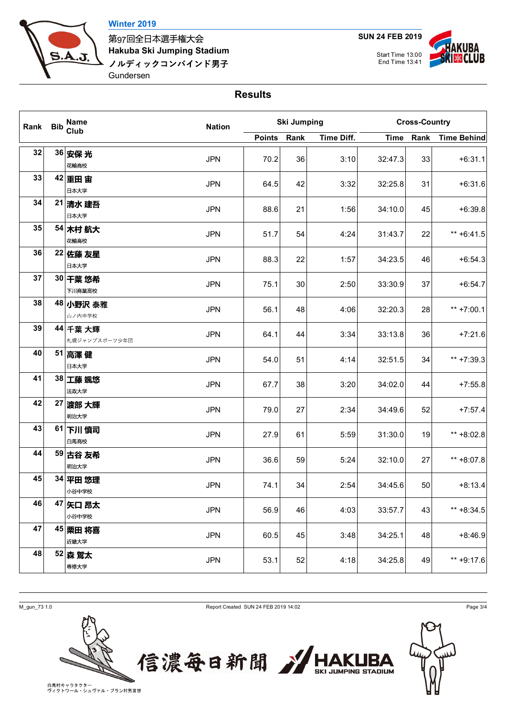

第97回全日本選手権大会 **Hakuba Ski Jumping Stadium** ノルディックコンバインド男子 Gundersen

**SUN 24 FEB 2019**

Start Time 13:00 End Time 13:41



## **Results**

| Rank Bib | Name<br>Club              | <b>Nation</b> |               | <b>Ski Jumping</b> |            | <b>Cross-Country</b> |      |                    |  |
|----------|---------------------------|---------------|---------------|--------------------|------------|----------------------|------|--------------------|--|
|          |                           |               | <b>Points</b> | Rank               | Time Diff. | <b>Time</b>          | Rank | <b>Time Behind</b> |  |
| 32       | 36 安保 光<br>花輪高校           | <b>JPN</b>    | 70.2          | 36                 | 3:10       | 32:47.3              | 33   | $+6:31.1$          |  |
| 33       | 42 重田 宙<br>日本大学           | <b>JPN</b>    | 64.5          | 42                 | 3:32       | 32:25.8              | 31   | $+6:31.6$          |  |
| 34       | 21 清水 建吾<br>日本大学          | <b>JPN</b>    | 88.6          | 21                 | 1:56       | 34:10.0              | 45   | $+6:39.8$          |  |
| 35       | 54 木村 航大<br>花輪高校          | <b>JPN</b>    | 51.7          | 54                 | 4:24       | 31:43.7              | 22   | $** + 6:41.5$      |  |
| 36       | 22 佐藤 友星<br>日本大学          | <b>JPN</b>    | 88.3          | 22                 | 1:57       | 34:23.5              | 46   | $+6:54.3$          |  |
| 37       | 30 千葉 悠希<br>下川商業高校        | <b>JPN</b>    | 75.1          | 30                 | 2:50       | 33:30.9              | 37   | $+6:54.7$          |  |
| 38       | 48 小野沢 泰雅<br>山ノ内中学校       | <b>JPN</b>    | 56.1          | 48                 | 4:06       | 32:20.3              | 28   | ** $+7:00.1$       |  |
| 39       | 44 千葉 大輝<br>札幌ジャンプスポーツ少年団 | <b>JPN</b>    | 64.1          | 44                 | 3:34       | 33:13.8              | 36   | $+7:21.6$          |  |
| 40       | 51 高澤健<br>日本大学            | <b>JPN</b>    | 54.0          | 51                 | 4:14       | 32:51.5              | 34   | ** +7:39.3         |  |
| 41       | 38 工藤 颯悠<br>法政大学          | <b>JPN</b>    | 67.7          | 38                 | 3:20       | 34:02.0              | 44   | $+7:55.8$          |  |
| 42       | 27 渡部 大輝<br>明治大学          | <b>JPN</b>    | 79.0          | 27                 | 2:34       | 34:49.6              | 52   | $+7:57.4$          |  |
| 43       | 61 下川 慎司<br>白馬高校          | <b>JPN</b>    | 27.9          | 61                 | 5:59       | 31:30.0              | 19   | ** +8:02.8         |  |
| 44       | 59 古谷 友希<br>明治大学          | <b>JPN</b>    | 36.6          | 59                 | 5:24       | 32:10.0              | 27   | ** +8:07.8         |  |
| 45       | 34 平田 悠理<br>小谷中学校         | <b>JPN</b>    | 74.1          | 34                 | 2:54       | 34:45.6              | 50   | $+8:13.4$          |  |
| 46       | 47 矢口 昂太<br>小谷中学校         | <b>JPN</b>    | 56.9          | 46                 | 4:03       | 33:57.7              | 43   | $** +8:34.5$       |  |
| 47       | 45 栗田 将喜<br>近畿大学          | <b>JPN</b>    | 60.5          | 45                 | 3:48       | 34:25.1              | 48   | $+8:46.9$          |  |
| 48       | 52 森 鷲太<br>専修大学           | <b>JPN</b>    | 53.1          | 52                 | 4:18       | 34:25.8              | 49   | ** +9:17.6         |  |

M\_gun\_73 1.0 Page 3/4